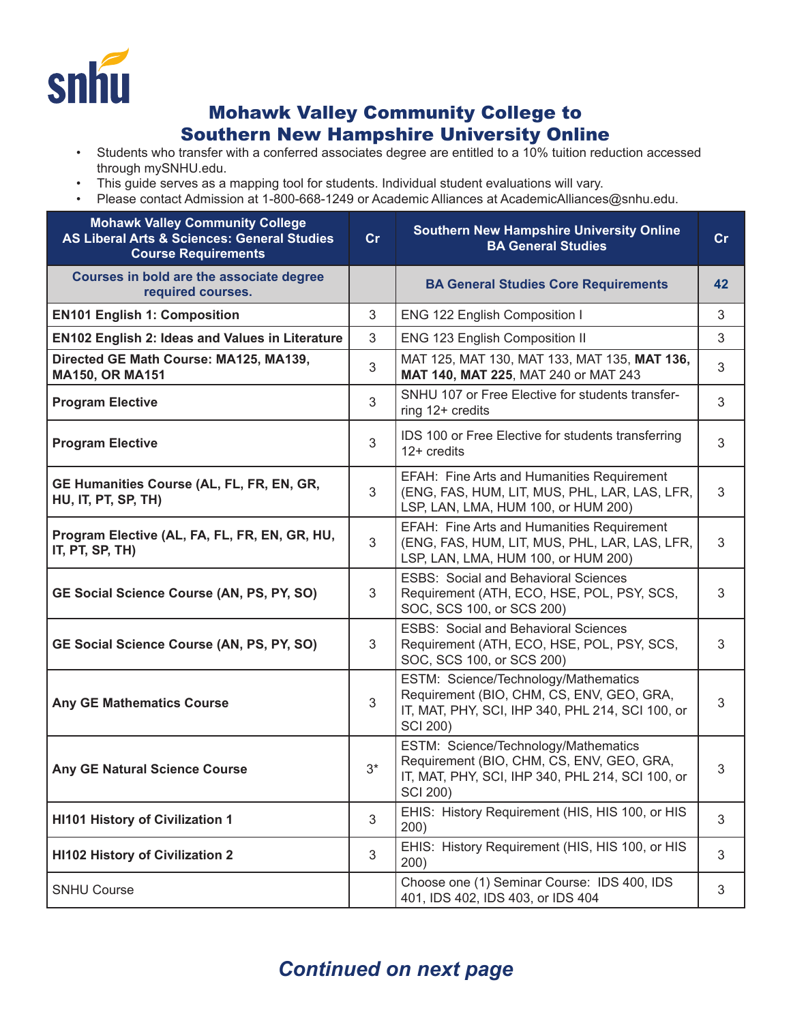

## Mohawk Valley Community College to Southern New Hampshire University Online

- Students who transfer with a conferred associates degree are entitled to a 10% tuition reduction accessed through mySNHU.edu.
- This guide serves as a mapping tool for students. Individual student evaluations will vary.
- Please contact Admission at 1-800-668-1249 or Academic Alliances at AcademicAlliances@snhu.edu.

| <b>Mohawk Valley Community College</b><br><b>AS Liberal Arts &amp; Sciences: General Studies</b><br><b>Course Requirements</b> | cr    | <b>Southern New Hampshire University Online</b><br><b>BA General Studies</b>                                                                             | cr |
|--------------------------------------------------------------------------------------------------------------------------------|-------|----------------------------------------------------------------------------------------------------------------------------------------------------------|----|
| Courses in bold are the associate degree<br>required courses.                                                                  |       | <b>BA General Studies Core Requirements</b>                                                                                                              | 42 |
| <b>EN101 English 1: Composition</b>                                                                                            | 3     | ENG 122 English Composition I                                                                                                                            | 3  |
| <b>EN102 English 2: Ideas and Values in Literature</b>                                                                         | 3     | <b>ENG 123 English Composition II</b>                                                                                                                    | 3  |
| Directed GE Math Course: MA125, MA139,<br><b>MA150, OR MA151</b>                                                               | 3     | MAT 125, MAT 130, MAT 133, MAT 135, MAT 136,<br>MAT 140, MAT 225, MAT 240 or MAT 243                                                                     | 3  |
| <b>Program Elective</b>                                                                                                        | 3     | SNHU 107 or Free Elective for students transfer-<br>ring 12+ credits                                                                                     | 3  |
| <b>Program Elective</b>                                                                                                        | 3     | IDS 100 or Free Elective for students transferring<br>$12+$ credits                                                                                      | 3  |
| GE Humanities Course (AL, FL, FR, EN, GR,<br>HU, IT, PT, SP, TH)                                                               | 3     | EFAH: Fine Arts and Humanities Requirement<br>(ENG, FAS, HUM, LIT, MUS, PHL, LAR, LAS, LFR,<br>LSP, LAN, LMA, HUM 100, or HUM 200)                       | 3  |
| Program Elective (AL, FA, FL, FR, EN, GR, HU,<br>IT, PT, SP, TH)                                                               | 3     | EFAH: Fine Arts and Humanities Requirement<br>(ENG, FAS, HUM, LIT, MUS, PHL, LAR, LAS, LFR,<br>LSP, LAN, LMA, HUM 100, or HUM 200)                       | 3  |
| GE Social Science Course (AN, PS, PY, SO)                                                                                      | 3     | <b>ESBS: Social and Behavioral Sciences</b><br>Requirement (ATH, ECO, HSE, POL, PSY, SCS,<br>SOC, SCS 100, or SCS 200)                                   | 3  |
| GE Social Science Course (AN, PS, PY, SO)                                                                                      | 3     | <b>ESBS: Social and Behavioral Sciences</b><br>Requirement (ATH, ECO, HSE, POL, PSY, SCS,<br>SOC, SCS 100, or SCS 200)                                   | 3  |
| <b>Any GE Mathematics Course</b>                                                                                               | 3     | ESTM: Science/Technology/Mathematics<br>Requirement (BIO, CHM, CS, ENV, GEO, GRA,<br>IT, MAT, PHY, SCI, IHP 340, PHL 214, SCI 100, or<br><b>SCI 200)</b> | 3  |
| <b>Any GE Natural Science Course</b>                                                                                           | $3^*$ | ESTM: Science/Technology/Mathematics<br>Requirement (BIO, CHM, CS, ENV, GEO, GRA,<br>IT, MAT, PHY, SCI, IHP 340, PHL 214, SCI 100, or<br>SCI 200)        | 3  |
| <b>HI101 History of Civilization 1</b>                                                                                         | 3     | EHIS: History Requirement (HIS, HIS 100, or HIS<br>200)                                                                                                  | 3  |
| <b>HI102 History of Civilization 2</b>                                                                                         | 3     | EHIS: History Requirement (HIS, HIS 100, or HIS<br>200)                                                                                                  | 3  |
| <b>SNHU Course</b>                                                                                                             |       | Choose one (1) Seminar Course: IDS 400, IDS<br>401, IDS 402, IDS 403, or IDS 404                                                                         | 3  |

## *Continued on next page*